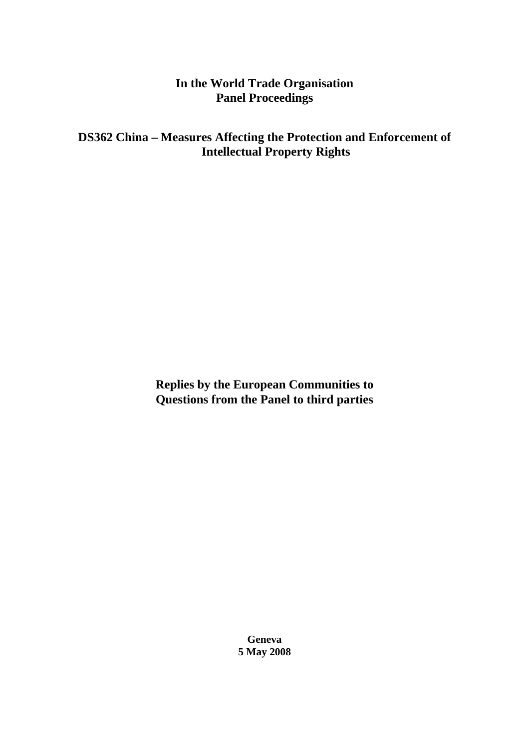# **In the World Trade Organisation Panel Proceedings**

# **DS362 China – Measures Affecting the Protection and Enforcement of Intellectual Property Rights**

**Replies by the European Communities to Questions from the Panel to third parties** 

> **Geneva 5 May 2008**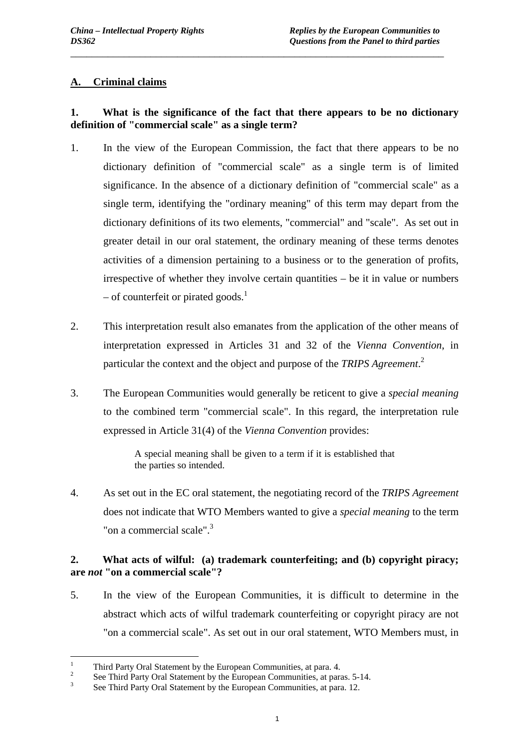### **A. Criminal claims**

# **1. What is the significance of the fact that there appears to be no dictionary definition of "commercial scale" as a single term?**

\_\_\_\_\_\_\_\_\_\_\_\_\_\_\_\_\_\_\_\_\_\_\_\_\_\_\_\_\_\_\_\_\_\_\_\_\_\_\_\_\_\_\_\_\_\_\_\_\_\_\_\_\_\_\_\_\_\_\_\_\_\_\_\_\_\_\_\_\_\_

- 1. In the view of the European Commission, the fact that there appears to be no dictionary definition of "commercial scale" as a single term is of limited significance. In the absence of a dictionary definition of "commercial scale" as a single term, identifying the "ordinary meaning" of this term may depart from the dictionary definitions of its two elements, "commercial" and "scale". As set out in greater detail in our oral statement, the ordinary meaning of these terms denotes activities of a dimension pertaining to a business or to the generation of profits, irrespective of whether they involve certain quantities – be it in value or numbers – of counterfeit or pirated goods. $<sup>1</sup>$ </sup>
- 2. This interpretation result also emanates from the application of the other means of interpretation expressed in Articles 31 and 32 of the *Vienna Convention*, in particular the context and the object and purpose of the *TRIPS Agreement*. 2
- 3. The European Communities would generally be reticent to give a *special meaning* to the combined term "commercial scale". In this regard, the interpretation rule expressed in Article 31(4) of the *Vienna Convention* provides:

A special meaning shall be given to a term if it is established that the parties so intended.

4. As set out in the EC oral statement, the negotiating record of the *TRIPS Agreement* does not indicate that WTO Members wanted to give a *special meaning* to the term "on a commercial scale". $3$ 

### **2. What acts of wilful: (a) trademark counterfeiting; and (b) copyright piracy; are** *not* **"on a commercial scale"?**

5. In the view of the European Communities, it is difficult to determine in the abstract which acts of wilful trademark counterfeiting or copyright piracy are not "on a commercial scale". As set out in our oral statement, WTO Members must, in

 $\frac{1}{1}$ Third Party Oral Statement by the European Communities, at para. 4.

<sup>2</sup> See Third Party Oral Statement by the European Communities, at paras. 5-14.

<sup>3</sup> See Third Party Oral Statement by the European Communities, at para. 12.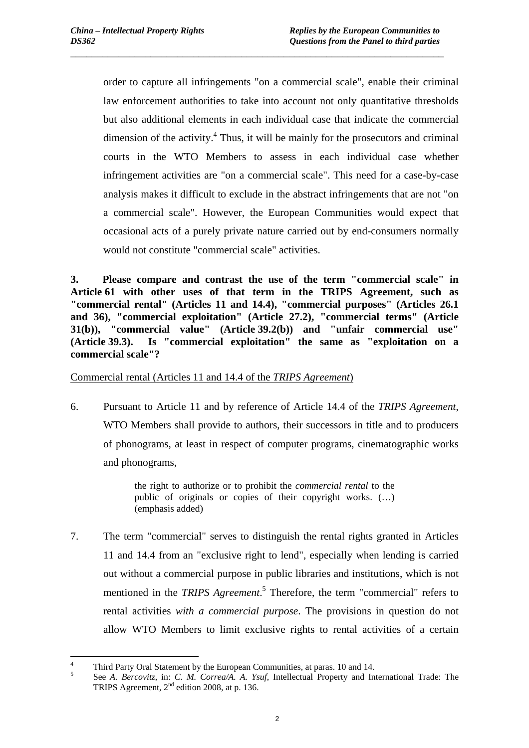order to capture all infringements "on a commercial scale", enable their criminal law enforcement authorities to take into account not only quantitative thresholds but also additional elements in each individual case that indicate the commercial dimension of the activity. $4$  Thus, it will be mainly for the prosecutors and criminal courts in the WTO Members to assess in each individual case whether infringement activities are "on a commercial scale". This need for a case-by-case analysis makes it difficult to exclude in the abstract infringements that are not "on a commercial scale". However, the European Communities would expect that occasional acts of a purely private nature carried out by end-consumers normally would not constitute "commercial scale" activities.

\_\_\_\_\_\_\_\_\_\_\_\_\_\_\_\_\_\_\_\_\_\_\_\_\_\_\_\_\_\_\_\_\_\_\_\_\_\_\_\_\_\_\_\_\_\_\_\_\_\_\_\_\_\_\_\_\_\_\_\_\_\_\_\_\_\_\_\_\_\_

**3. Please compare and contrast the use of the term "commercial scale" in Article 61 with other uses of that term in the TRIPS Agreement, such as "commercial rental" (Articles 11 and 14.4), "commercial purposes" (Articles 26.1 and 36), "commercial exploitation" (Article 27.2), "commercial terms" (Article 31(b)), "commercial value" (Article 39.2(b)) and "unfair commercial use" (Article 39.3). Is "commercial exploitation" the same as "exploitation on a commercial scale"?** 

Commercial rental (Articles 11 and 14.4 of the *TRIPS Agreement*)

6. Pursuant to Article 11 and by reference of Article 14.4 of the *TRIPS Agreement*, WTO Members shall provide to authors, their successors in title and to producers of phonograms, at least in respect of computer programs, cinematographic works and phonograms,

> the right to authorize or to prohibit the *commercial rental* to the public of originals or copies of their copyright works. (…) (emphasis added)

7. The term "commercial" serves to distinguish the rental rights granted in Articles 11 and 14.4 from an "exclusive right to lend", especially when lending is carried out without a commercial purpose in public libraries and institutions, which is not mentioned in the *TRIPS Agreement*. 5 Therefore, the term "commercial" refers to rental activities *with a commercial purpose*. The provisions in question do not allow WTO Members to limit exclusive rights to rental activities of a certain

 $\frac{1}{4}$ Third Party Oral Statement by the European Communities, at paras. 10 and 14.

<sup>5</sup> See *A. Bercovitz*, in: *C. M. Correa/A. A. Ysuf*, Intellectual Property and International Trade: The TRIPS Agreement, 2<sup>nd</sup> edition 2008, at p. 136.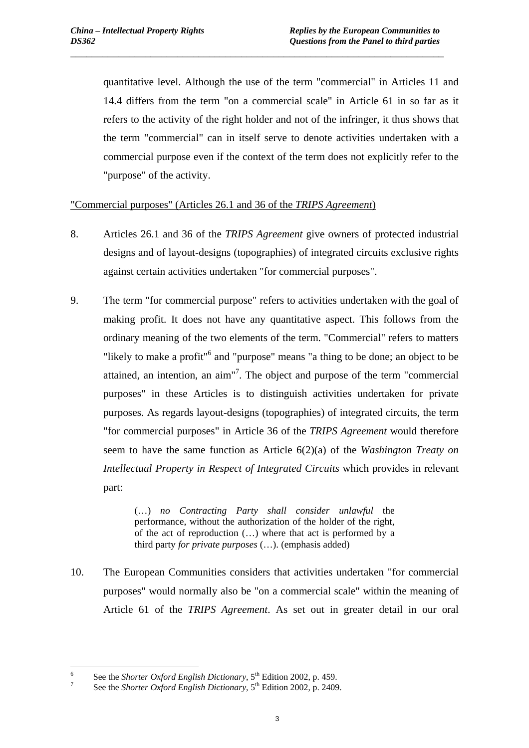quantitative level. Although the use of the term "commercial" in Articles 11 and 14.4 differs from the term "on a commercial scale" in Article 61 in so far as it refers to the activity of the right holder and not of the infringer, it thus shows that the term "commercial" can in itself serve to denote activities undertaken with a commercial purpose even if the context of the term does not explicitly refer to the "purpose" of the activity.

\_\_\_\_\_\_\_\_\_\_\_\_\_\_\_\_\_\_\_\_\_\_\_\_\_\_\_\_\_\_\_\_\_\_\_\_\_\_\_\_\_\_\_\_\_\_\_\_\_\_\_\_\_\_\_\_\_\_\_\_\_\_\_\_\_\_\_\_\_\_

"Commercial purposes" (Articles 26.1 and 36 of the *TRIPS Agreement*)

- 8. Articles 26.1 and 36 of the *TRIPS Agreement* give owners of protected industrial designs and of layout-designs (topographies) of integrated circuits exclusive rights against certain activities undertaken "for commercial purposes".
- 9. The term "for commercial purpose" refers to activities undertaken with the goal of making profit. It does not have any quantitative aspect. This follows from the ordinary meaning of the two elements of the term. "Commercial" refers to matters "likely to make a profit"<sup>6</sup> and "purpose" means "a thing to be done; an object to be attained, an intention, an aim"<sup>7</sup>. The object and purpose of the term "commercial purposes" in these Articles is to distinguish activities undertaken for private purposes. As regards layout-designs (topographies) of integrated circuits, the term "for commercial purposes" in Article 36 of the *TRIPS Agreement* would therefore seem to have the same function as Article 6(2)(a) of the *Washington Treaty on Intellectual Property in Respect of Integrated Circuits* which provides in relevant part:

(…) *no Contracting Party shall consider unlawful* the performance, without the authorization of the holder of the right, of the act of reproduction (…) where that act is performed by a third party *for private purposes* (…). (emphasis added)

10. The European Communities considers that activities undertaken "for commercial purposes" would normally also be "on a commercial scale" within the meaning of Article 61 of the *TRIPS Agreement*. As set out in greater detail in our oral

 6 See the *Shorter Oxford English Dictionary*,  $5^{th}$  Edition 2002, p. 459.

See the *Shorter Oxford English Dictionary*, 5<sup>th</sup> Edition 2002, p. 2409.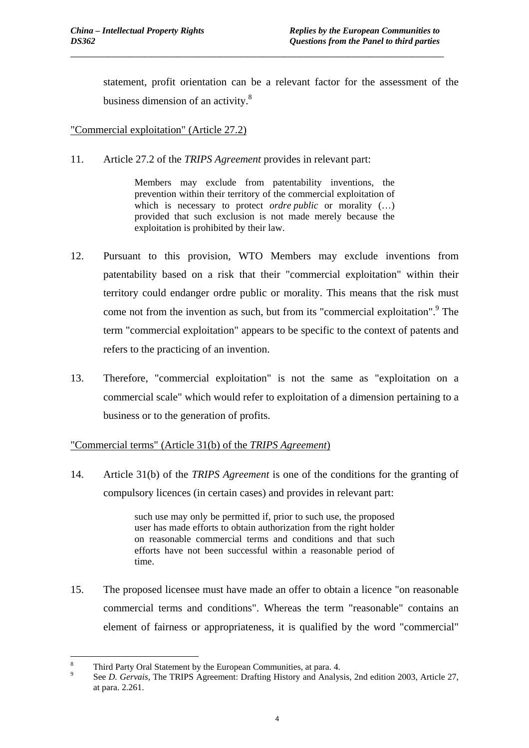statement, profit orientation can be a relevant factor for the assessment of the business dimension of an activity.<sup>8</sup>

\_\_\_\_\_\_\_\_\_\_\_\_\_\_\_\_\_\_\_\_\_\_\_\_\_\_\_\_\_\_\_\_\_\_\_\_\_\_\_\_\_\_\_\_\_\_\_\_\_\_\_\_\_\_\_\_\_\_\_\_\_\_\_\_\_\_\_\_\_\_

"Commercial exploitation" (Article 27.2)

11. Article 27.2 of the *TRIPS Agreement* provides in relevant part:

Members may exclude from patentability inventions, the prevention within their territory of the commercial exploitation of which is necessary to protect *ordre public* or morality  $(...)$ provided that such exclusion is not made merely because the exploitation is prohibited by their law.

- 12. Pursuant to this provision, WTO Members may exclude inventions from patentability based on a risk that their "commercial exploitation" within their territory could endanger ordre public or morality. This means that the risk must come not from the invention as such, but from its "commercial exploitation".<sup>9</sup> The term "commercial exploitation" appears to be specific to the context of patents and refers to the practicing of an invention.
- 13. Therefore, "commercial exploitation" is not the same as "exploitation on a commercial scale" which would refer to exploitation of a dimension pertaining to a business or to the generation of profits.

### "Commercial terms" (Article 31(b) of the *TRIPS Agreement*)

14. Article 31(b) of the *TRIPS Agreement* is one of the conditions for the granting of compulsory licences (in certain cases) and provides in relevant part:

> such use may only be permitted if, prior to such use, the proposed user has made efforts to obtain authorization from the right holder on reasonable commercial terms and conditions and that such efforts have not been successful within a reasonable period of time.

15. The proposed licensee must have made an offer to obtain a licence "on reasonable commercial terms and conditions". Whereas the term "reasonable" contains an element of fairness or appropriateness, it is qualified by the word "commercial"

 $\overline{a}$ 8 Third Party Oral Statement by the European Communities, at para. 4.

<sup>9</sup> See *D. Gervais*, The TRIPS Agreement: Drafting History and Analysis, 2nd edition 2003, Article 27, at para. 2.261.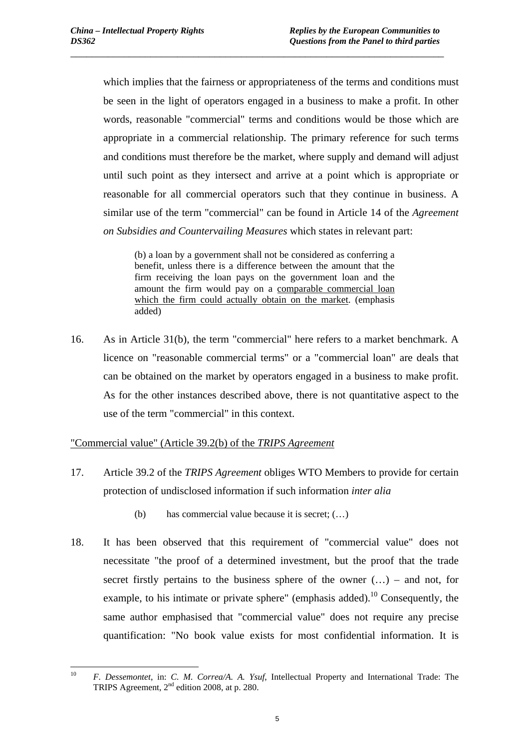which implies that the fairness or appropriateness of the terms and conditions must be seen in the light of operators engaged in a business to make a profit. In other words, reasonable "commercial" terms and conditions would be those which are appropriate in a commercial relationship. The primary reference for such terms and conditions must therefore be the market, where supply and demand will adjust until such point as they intersect and arrive at a point which is appropriate or reasonable for all commercial operators such that they continue in business. A similar use of the term "commercial" can be found in Article 14 of the *Agreement on Subsidies and Countervailing Measures* which states in relevant part:

\_\_\_\_\_\_\_\_\_\_\_\_\_\_\_\_\_\_\_\_\_\_\_\_\_\_\_\_\_\_\_\_\_\_\_\_\_\_\_\_\_\_\_\_\_\_\_\_\_\_\_\_\_\_\_\_\_\_\_\_\_\_\_\_\_\_\_\_\_\_

(b) a loan by a government shall not be considered as conferring a benefit, unless there is a difference between the amount that the firm receiving the loan pays on the government loan and the amount the firm would pay on a comparable commercial loan which the firm could actually obtain on the market. (emphasis added)

16. As in Article 31(b), the term "commercial" here refers to a market benchmark. A licence on "reasonable commercial terms" or a "commercial loan" are deals that can be obtained on the market by operators engaged in a business to make profit. As for the other instances described above, there is not quantitative aspect to the use of the term "commercial" in this context.

#### "Commercial value" (Article 39.2(b) of the *TRIPS Agreement*

- 17. Article 39.2 of the *TRIPS Agreement* obliges WTO Members to provide for certain protection of undisclosed information if such information *inter alia*
	- (b) has commercial value because it is secret; (…)
- 18. It has been observed that this requirement of "commercial value" does not necessitate "the proof of a determined investment, but the proof that the trade secret firstly pertains to the business sphere of the owner  $(...)$  – and not, for example, to his intimate or private sphere" (emphasis added).<sup>10</sup> Consequently, the same author emphasised that "commercial value" does not require any precise quantification: "No book value exists for most confidential information. It is

 $10$ 10 *F. Dessemontet*, in: *C. M. Correa/A. A. Ysuf*, Intellectual Property and International Trade: The TRIPS Agreement, 2<sup>nd</sup> edition 2008, at p. 280.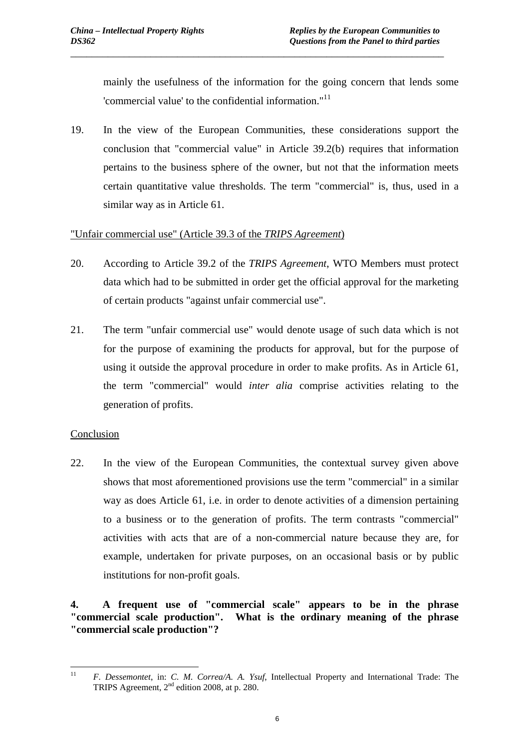mainly the usefulness of the information for the going concern that lends some 'commercial value' to the confidential information."<sup>11</sup>

19. In the view of the European Communities, these considerations support the conclusion that "commercial value" in Article 39.2(b) requires that information pertains to the business sphere of the owner, but not that the information meets certain quantitative value thresholds. The term "commercial" is, thus, used in a similar way as in Article 61.

\_\_\_\_\_\_\_\_\_\_\_\_\_\_\_\_\_\_\_\_\_\_\_\_\_\_\_\_\_\_\_\_\_\_\_\_\_\_\_\_\_\_\_\_\_\_\_\_\_\_\_\_\_\_\_\_\_\_\_\_\_\_\_\_\_\_\_\_\_\_

#### "Unfair commercial use" (Article 39.3 of the *TRIPS Agreement*)

- 20. According to Article 39.2 of the *TRIPS Agreement*, WTO Members must protect data which had to be submitted in order get the official approval for the marketing of certain products "against unfair commercial use".
- 21. The term "unfair commercial use" would denote usage of such data which is not for the purpose of examining the products for approval, but for the purpose of using it outside the approval procedure in order to make profits. As in Article 61, the term "commercial" would *inter alia* comprise activities relating to the generation of profits.

### Conclusion

22. In the view of the European Communities, the contextual survey given above shows that most aforementioned provisions use the term "commercial" in a similar way as does Article 61, i.e. in order to denote activities of a dimension pertaining to a business or to the generation of profits. The term contrasts "commercial" activities with acts that are of a non-commercial nature because they are, for example, undertaken for private purposes, on an occasional basis or by public institutions for non-profit goals.

### **4. A frequent use of "commercial scale" appears to be in the phrase "commercial scale production". What is the ordinary meaning of the phrase "commercial scale production"?**

 $11$ 11 *F. Dessemontet*, in: *C. M. Correa/A. A. Ysuf*, Intellectual Property and International Trade: The TRIPS Agreement, 2<sup>nd</sup> edition 2008, at p. 280.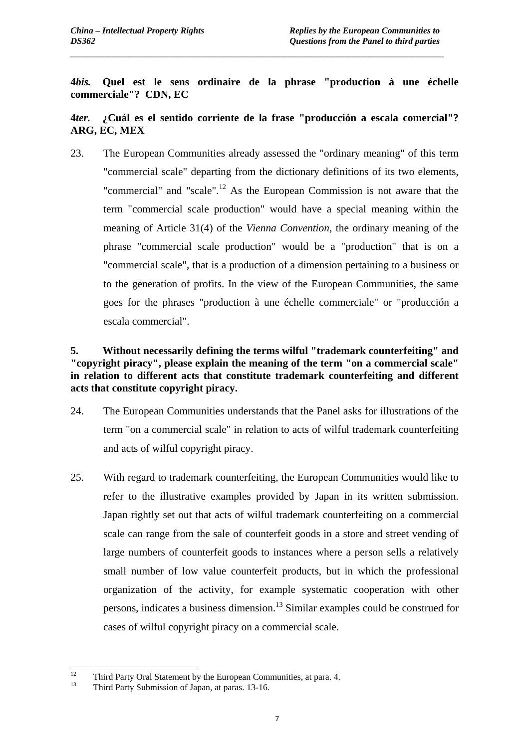**4***bis.* **Quel est le sens ordinaire de la phrase "production à une échelle commerciale"? CDN, EC** 

\_\_\_\_\_\_\_\_\_\_\_\_\_\_\_\_\_\_\_\_\_\_\_\_\_\_\_\_\_\_\_\_\_\_\_\_\_\_\_\_\_\_\_\_\_\_\_\_\_\_\_\_\_\_\_\_\_\_\_\_\_\_\_\_\_\_\_\_\_\_

## **4***ter.* **¿Cuál es el sentido corriente de la frase "producción a escala comercial"? ARG, EC, MEX**

23. The European Communities already assessed the "ordinary meaning" of this term "commercial scale" departing from the dictionary definitions of its two elements, "commercial" and "scale".<sup>12</sup> As the European Commission is not aware that the term "commercial scale production" would have a special meaning within the meaning of Article 31(4) of the *Vienna Convention*, the ordinary meaning of the phrase "commercial scale production" would be a "production" that is on a "commercial scale", that is a production of a dimension pertaining to a business or to the generation of profits. In the view of the European Communities, the same goes for the phrases "production à une échelle commerciale" or "producción a escala commercial".

## **5. Without necessarily defining the terms wilful "trademark counterfeiting" and "copyright piracy", please explain the meaning of the term "on a commercial scale" in relation to different acts that constitute trademark counterfeiting and different acts that constitute copyright piracy.**

- 24. The European Communities understands that the Panel asks for illustrations of the term "on a commercial scale" in relation to acts of wilful trademark counterfeiting and acts of wilful copyright piracy.
- 25. With regard to trademark counterfeiting, the European Communities would like to refer to the illustrative examples provided by Japan in its written submission. Japan rightly set out that acts of wilful trademark counterfeiting on a commercial scale can range from the sale of counterfeit goods in a store and street vending of large numbers of counterfeit goods to instances where a person sells a relatively small number of low value counterfeit products, but in which the professional organization of the activity, for example systematic cooperation with other persons, indicates a business dimension.13 Similar examples could be construed for cases of wilful copyright piracy on a commercial scale.

 $12$ <sup>12</sup> Third Party Oral Statement by the European Communities, at para. 4.<br><sup>13</sup> Third Party Submission of Japan, at paras.  $12.16$ 

<sup>13</sup> Third Party Submission of Japan, at paras. 13-16.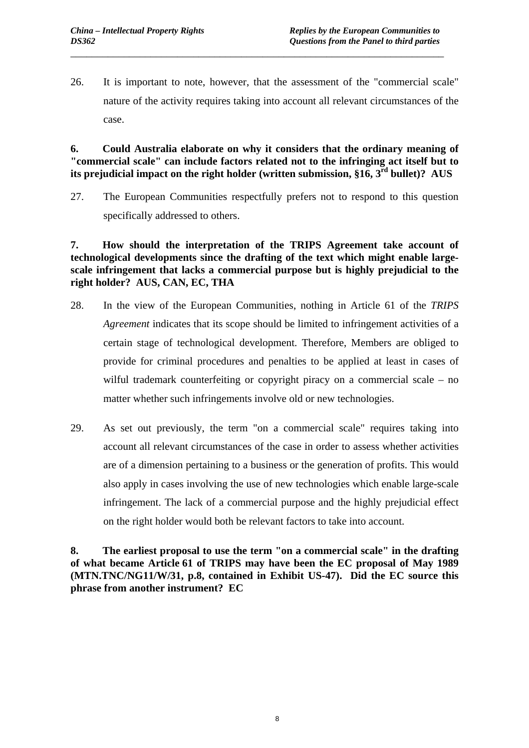26. It is important to note, however, that the assessment of the "commercial scale" nature of the activity requires taking into account all relevant circumstances of the case.

\_\_\_\_\_\_\_\_\_\_\_\_\_\_\_\_\_\_\_\_\_\_\_\_\_\_\_\_\_\_\_\_\_\_\_\_\_\_\_\_\_\_\_\_\_\_\_\_\_\_\_\_\_\_\_\_\_\_\_\_\_\_\_\_\_\_\_\_\_\_

**6. Could Australia elaborate on why it considers that the ordinary meaning of "commercial scale" can include factors related not to the infringing act itself but to its prejudicial impact on the right holder (written submission, §16, 3rd bullet)? AUS** 

27. The European Communities respectfully prefers not to respond to this question specifically addressed to others.

**7. How should the interpretation of the TRIPS Agreement take account of technological developments since the drafting of the text which might enable largescale infringement that lacks a commercial purpose but is highly prejudicial to the right holder? AUS, CAN, EC, THA** 

- 28. In the view of the European Communities, nothing in Article 61 of the *TRIPS Agreement* indicates that its scope should be limited to infringement activities of a certain stage of technological development. Therefore, Members are obliged to provide for criminal procedures and penalties to be applied at least in cases of wilful trademark counterfeiting or copyright piracy on a commercial scale – no matter whether such infringements involve old or new technologies.
- 29. As set out previously, the term "on a commercial scale" requires taking into account all relevant circumstances of the case in order to assess whether activities are of a dimension pertaining to a business or the generation of profits. This would also apply in cases involving the use of new technologies which enable large-scale infringement. The lack of a commercial purpose and the highly prejudicial effect on the right holder would both be relevant factors to take into account.

**8. The earliest proposal to use the term "on a commercial scale" in the drafting of what became Article 61 of TRIPS may have been the EC proposal of May 1989 (MTN.TNC/NG11/W/31, p.8, contained in Exhibit US-47). Did the EC source this phrase from another instrument? EC**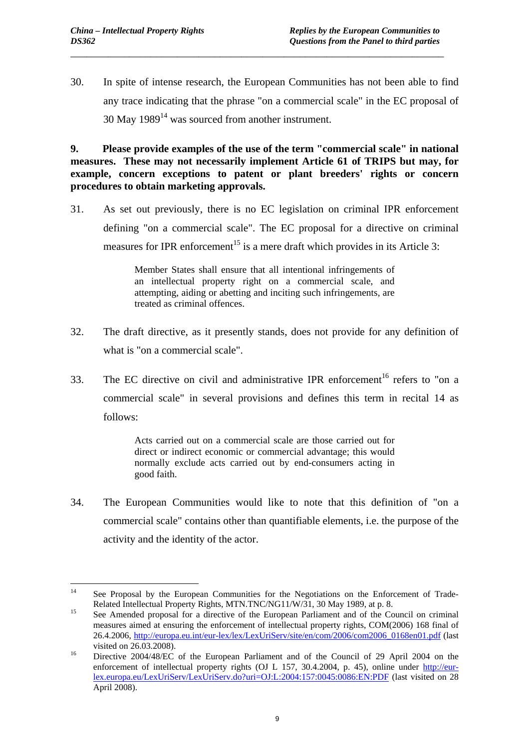30. In spite of intense research, the European Communities has not been able to find any trace indicating that the phrase "on a commercial scale" in the EC proposal of  $30$  May  $1989<sup>14</sup>$  was sourced from another instrument.

\_\_\_\_\_\_\_\_\_\_\_\_\_\_\_\_\_\_\_\_\_\_\_\_\_\_\_\_\_\_\_\_\_\_\_\_\_\_\_\_\_\_\_\_\_\_\_\_\_\_\_\_\_\_\_\_\_\_\_\_\_\_\_\_\_\_\_\_\_\_

**9. Please provide examples of the use of the term "commercial scale" in national measures. These may not necessarily implement Article 61 of TRIPS but may, for example, concern exceptions to patent or plant breeders' rights or concern procedures to obtain marketing approvals.** 

31. As set out previously, there is no EC legislation on criminal IPR enforcement defining "on a commercial scale". The EC proposal for a directive on criminal measures for IPR enforcement<sup>15</sup> is a mere draft which provides in its Article 3:

> Member States shall ensure that all intentional infringements of an intellectual property right on a commercial scale, and attempting, aiding or abetting and inciting such infringements, are treated as criminal offences.

- 32. The draft directive, as it presently stands, does not provide for any definition of what is "on a commercial scale".
- 33. The EC directive on civil and administrative IPR enforcement<sup>16</sup> refers to "on a commercial scale" in several provisions and defines this term in recital 14 as follows:

Acts carried out on a commercial scale are those carried out for direct or indirect economic or commercial advantage; this would normally exclude acts carried out by end-consumers acting in good faith.

34. The European Communities would like to note that this definition of "on a commercial scale" contains other than quantifiable elements, i.e. the purpose of the activity and the identity of the actor.

 $14$ 14 See Proposal by the European Communities for the Negotiations on the Enforcement of Trade-

Related Intellectual Property Rights, MTN.TNC/NG11/W/31, 30 May 1989, at p. 8.<br><sup>15</sup> See Amended proposal for a directive of the European Parliament and of the Council on criminal measures aimed at ensuring the enforcement of intellectual property rights, COM(2006) 168 final of 26.4.2006, [http://europa.eu.int/eur-lex/lex/LexUriServ/site/en/com/2006/com2006\\_0168en01.pdf \(](http://europa.eu.int/eur-lex/lex/LexUriServ/site/en/com/2006/com2006_0168en01.pdf)last visited on 26.03.2008). 16 Directive 2004/48/EC of the European Parliament and of the Council of 29 April 2004 on the

enforcement of intellectual property rights (OJ L 157, 30.4.2004, p. 45), online under [http://eur](http://eur-lex.europa.eu/LexUriServ/LexUriServ.do?uri=OJ:L:2004:157:0045:0086:EN:PDF)[lex.europa.eu/LexUriServ/LexUriServ.do?uri=OJ:L:2004:157:0045:0086:EN:PDF](http://eur-lex.europa.eu/LexUriServ/LexUriServ.do?uri=OJ:L:2004:157:0045:0086:EN:PDF) (last visited on 28 April 2008).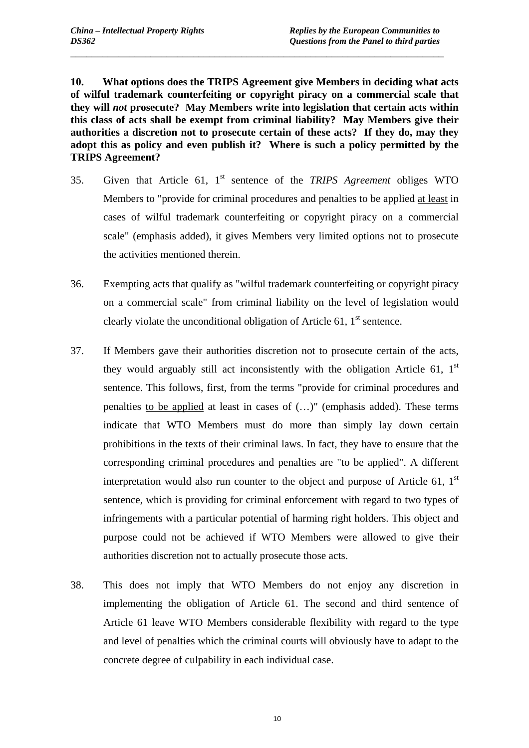**10. What options does the TRIPS Agreement give Members in deciding what acts of wilful trademark counterfeiting or copyright piracy on a commercial scale that they will** *not* **prosecute? May Members write into legislation that certain acts within this class of acts shall be exempt from criminal liability? May Members give their authorities a discretion not to prosecute certain of these acts? If they do, may they adopt this as policy and even publish it? Where is such a policy permitted by the TRIPS Agreement?** 

\_\_\_\_\_\_\_\_\_\_\_\_\_\_\_\_\_\_\_\_\_\_\_\_\_\_\_\_\_\_\_\_\_\_\_\_\_\_\_\_\_\_\_\_\_\_\_\_\_\_\_\_\_\_\_\_\_\_\_\_\_\_\_\_\_\_\_\_\_\_

- 35. Given that Article 61, 1st sentence of the *TRIPS Agreement* obliges WTO Members to "provide for criminal procedures and penalties to be applied at least in cases of wilful trademark counterfeiting or copyright piracy on a commercial scale" (emphasis added), it gives Members very limited options not to prosecute the activities mentioned therein.
- 36. Exempting acts that qualify as "wilful trademark counterfeiting or copyright piracy on a commercial scale" from criminal liability on the level of legislation would clearly violate the unconditional obligation of Article 61,  $1<sup>st</sup>$  sentence.
- 37. If Members gave their authorities discretion not to prosecute certain of the acts, they would arguably still act inconsistently with the obligation Article  $61$ ,  $1<sup>st</sup>$ sentence. This follows, first, from the terms "provide for criminal procedures and penalties to be applied at least in cases of (…)" (emphasis added). These terms indicate that WTO Members must do more than simply lay down certain prohibitions in the texts of their criminal laws. In fact, they have to ensure that the corresponding criminal procedures and penalties are "to be applied". A different interpretation would also run counter to the object and purpose of Article 61,  $1<sup>st</sup>$ sentence, which is providing for criminal enforcement with regard to two types of infringements with a particular potential of harming right holders. This object and purpose could not be achieved if WTO Members were allowed to give their authorities discretion not to actually prosecute those acts.
- 38. This does not imply that WTO Members do not enjoy any discretion in implementing the obligation of Article 61. The second and third sentence of Article 61 leave WTO Members considerable flexibility with regard to the type and level of penalties which the criminal courts will obviously have to adapt to the concrete degree of culpability in each individual case.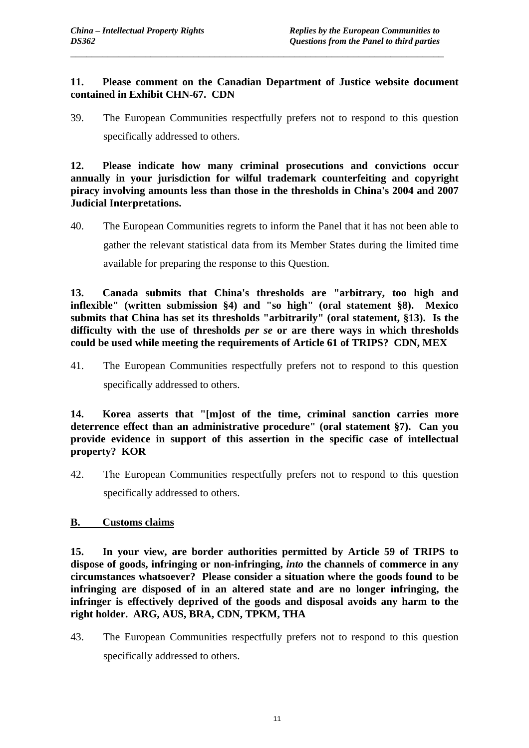#### **11. Please comment on the Canadian Department of Justice website document contained in Exhibit CHN-67. CDN**

\_\_\_\_\_\_\_\_\_\_\_\_\_\_\_\_\_\_\_\_\_\_\_\_\_\_\_\_\_\_\_\_\_\_\_\_\_\_\_\_\_\_\_\_\_\_\_\_\_\_\_\_\_\_\_\_\_\_\_\_\_\_\_\_\_\_\_\_\_\_

39. The European Communities respectfully prefers not to respond to this question specifically addressed to others.

**12. Please indicate how many criminal prosecutions and convictions occur annually in your jurisdiction for wilful trademark counterfeiting and copyright piracy involving amounts less than those in the thresholds in China's 2004 and 2007 Judicial Interpretations.** 

40. The European Communities regrets to inform the Panel that it has not been able to gather the relevant statistical data from its Member States during the limited time available for preparing the response to this Question.

**13. Canada submits that China's thresholds are "arbitrary, too high and inflexible" (written submission §4) and "so high" (oral statement §8). Mexico submits that China has set its thresholds "arbitrarily" (oral statement, §13). Is the difficulty with the use of thresholds** *per se* **or are there ways in which thresholds could be used while meeting the requirements of Article 61 of TRIPS? CDN, MEX** 

41. The European Communities respectfully prefers not to respond to this question specifically addressed to others.

**14. Korea asserts that "[m]ost of the time, criminal sanction carries more deterrence effect than an administrative procedure" (oral statement §7). Can you provide evidence in support of this assertion in the specific case of intellectual property? KOR** 

42. The European Communities respectfully prefers not to respond to this question specifically addressed to others.

### **B. Customs claims**

**15. In your view, are border authorities permitted by Article 59 of TRIPS to dispose of goods, infringing or non-infringing,** *into* **the channels of commerce in any circumstances whatsoever? Please consider a situation where the goods found to be infringing are disposed of in an altered state and are no longer infringing, the infringer is effectively deprived of the goods and disposal avoids any harm to the right holder. ARG, AUS, BRA, CDN, TPKM, THA** 

43. The European Communities respectfully prefers not to respond to this question specifically addressed to others.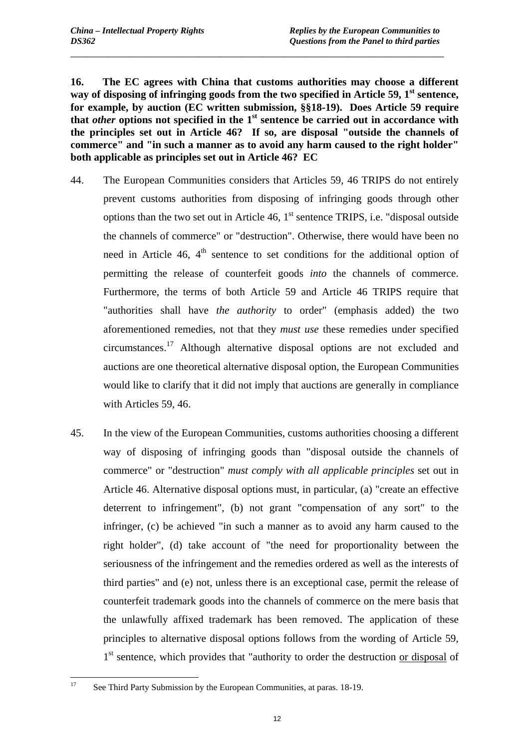**16. The EC agrees with China that customs authorities may choose a different**  way of disposing of infringing goods from the two specified in Article 59, 1<sup>st</sup> sentence, **for example, by auction (EC written submission, §§18-19). Does Article 59 require**  that *other* options not specified in the 1<sup>st</sup> sentence be carried out in accordance with **the principles set out in Article 46? If so, are disposal "outside the channels of commerce" and "in such a manner as to avoid any harm caused to the right holder" both applicable as principles set out in Article 46? EC** 

\_\_\_\_\_\_\_\_\_\_\_\_\_\_\_\_\_\_\_\_\_\_\_\_\_\_\_\_\_\_\_\_\_\_\_\_\_\_\_\_\_\_\_\_\_\_\_\_\_\_\_\_\_\_\_\_\_\_\_\_\_\_\_\_\_\_\_\_\_\_

- 44. The European Communities considers that Articles 59, 46 TRIPS do not entirely prevent customs authorities from disposing of infringing goods through other options than the two set out in Article  $46$ ,  $1<sup>st</sup>$  sentence TRIPS, i.e. "disposal outside the channels of commerce" or "destruction". Otherwise, there would have been no need in Article 46,  $4<sup>th</sup>$  sentence to set conditions for the additional option of permitting the release of counterfeit goods *into* the channels of commerce. Furthermore, the terms of both Article 59 and Article 46 TRIPS require that "authorities shall have *the authority* to order" (emphasis added) the two aforementioned remedies, not that they *must use* these remedies under specified circumstances.17 Although alternative disposal options are not excluded and auctions are one theoretical alternative disposal option, the European Communities would like to clarify that it did not imply that auctions are generally in compliance with Articles 59, 46.
- 45. In the view of the European Communities, customs authorities choosing a different way of disposing of infringing goods than "disposal outside the channels of commerce" or "destruction" *must comply with all applicable principles* set out in Article 46. Alternative disposal options must, in particular, (a) "create an effective deterrent to infringement", (b) not grant "compensation of any sort" to the infringer, (c) be achieved "in such a manner as to avoid any harm caused to the right holder", (d) take account of "the need for proportionality between the seriousness of the infringement and the remedies ordered as well as the interests of third parties" and (e) not, unless there is an exceptional case, permit the release of counterfeit trademark goods into the channels of commerce on the mere basis that the unlawfully affixed trademark has been removed. The application of these principles to alternative disposal options follows from the wording of Article 59, 1<sup>st</sup> sentence, which provides that "authority to order the destruction or disposal of

<sup>17</sup> 17 See Third Party Submission by the European Communities, at paras. 18-19.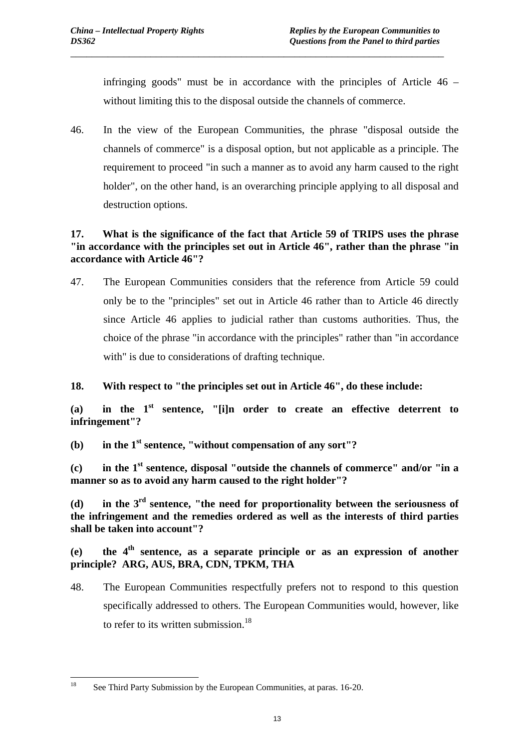infringing goods" must be in accordance with the principles of Article 46 – without limiting this to the disposal outside the channels of commerce.

46. In the view of the European Communities, the phrase "disposal outside the channels of commerce" is a disposal option, but not applicable as a principle. The requirement to proceed "in such a manner as to avoid any harm caused to the right holder", on the other hand, is an overarching principle applying to all disposal and destruction options.

\_\_\_\_\_\_\_\_\_\_\_\_\_\_\_\_\_\_\_\_\_\_\_\_\_\_\_\_\_\_\_\_\_\_\_\_\_\_\_\_\_\_\_\_\_\_\_\_\_\_\_\_\_\_\_\_\_\_\_\_\_\_\_\_\_\_\_\_\_\_

## **17. What is the significance of the fact that Article 59 of TRIPS uses the phrase "in accordance with the principles set out in Article 46", rather than the phrase "in accordance with Article 46"?**

- 47. The European Communities considers that the reference from Article 59 could only be to the "principles" set out in Article 46 rather than to Article 46 directly since Article 46 applies to judicial rather than customs authorities. Thus, the choice of the phrase "in accordance with the principles" rather than "in accordance with" is due to considerations of drafting technique.
- **18. With respect to "the principles set out in Article 46", do these include:**

**(a) in the 1st sentence, "[i]n order to create an effective deterrent to infringement"?** 

**(b) in the 1st sentence, "without compensation of any sort"?** 

**(c) in the 1st sentence, disposal "outside the channels of commerce" and/or "in a manner so as to avoid any harm caused to the right holder"?** 

**(d) in the 3rd sentence, "the need for proportionality between the seriousness of the infringement and the remedies ordered as well as the interests of third parties shall be taken into account"?** 

 $(e)$  the  $4<sup>th</sup>$  sentence, as a separate principle or as an expression of another **principle? ARG, AUS, BRA, CDN, TPKM, THA** 

48. The European Communities respectfully prefers not to respond to this question specifically addressed to others. The European Communities would, however, like to refer to its written submission.<sup>18</sup>

 $18\,$ See Third Party Submission by the European Communities, at paras. 16-20.